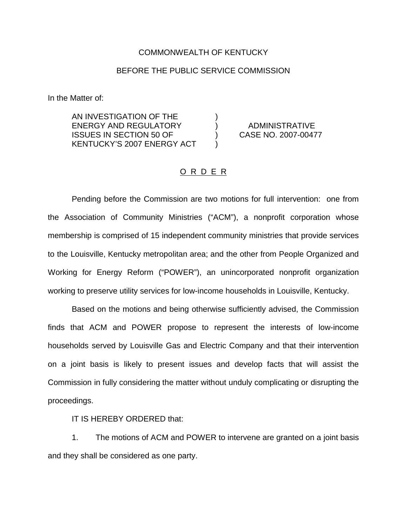## COMMONWEALTH OF KENTUCKY

## BEFORE THE PUBLIC SERVICE COMMISSION

In the Matter of:

AN INVESTIGATION OF THE ENERGY AND REGULATORY ) ADMINISTRATIVE ISSUES IN SECTION 50 OF ) CASE NO. 2007-00477 KENTUCKY'S 2007 ENERGY ACT )

## O R D E R

Pending before the Commission are two motions for full intervention: one from the Association of Community Ministries ("ACM"), a nonprofit corporation whose membership is comprised of 15 independent community ministries that provide services to the Louisville, Kentucky metropolitan area; and the other from People Organized and Working for Energy Reform ("POWER"), an unincorporated nonprofit organization working to preserve utility services for low-income households in Louisville, Kentucky.

Based on the motions and being otherwise sufficiently advised, the Commission finds that ACM and POWER propose to represent the interests of low-income households served by Louisville Gas and Electric Company and that their intervention on a joint basis is likely to present issues and develop facts that will assist the Commission in fully considering the matter without unduly complicating or disrupting the proceedings.

IT IS HEREBY ORDERED that:

1. The motions of ACM and POWER to intervene are granted on a joint basis and they shall be considered as one party.